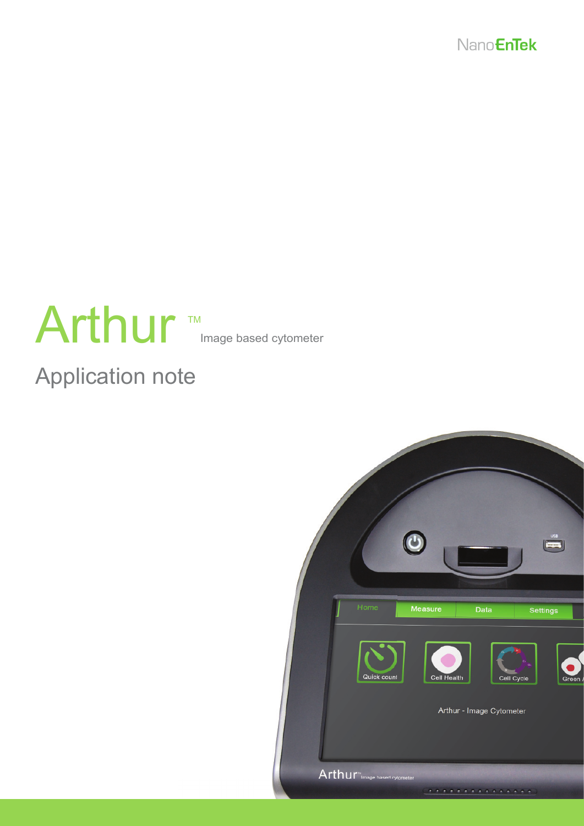

# Arthur Image based cytometer TM

# Application note

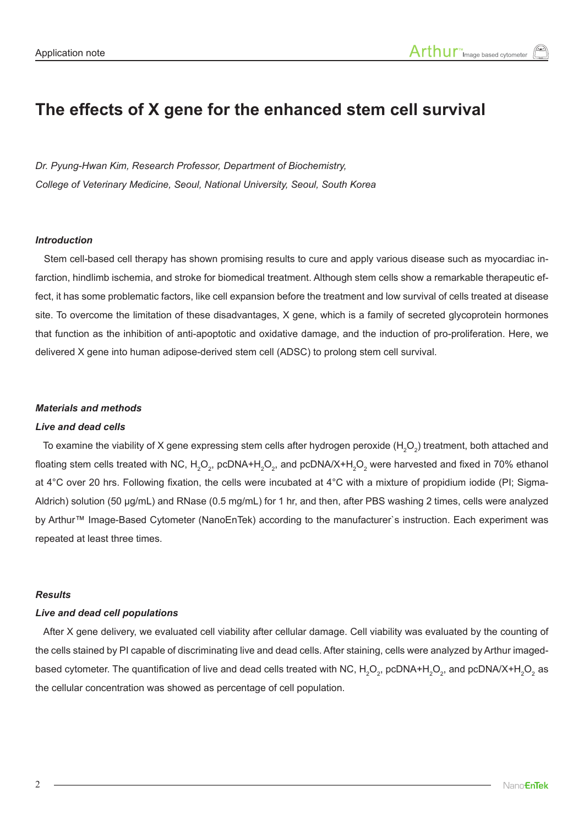### **The effects of X gene for the enhanced stem cell survival**

*Dr. Pyung-Hwan Kim, Research Professor, Department of Biochemistry, College of Veterinary Medicine, Seoul, National University, Seoul, South Korea*

### *Introduction*

 Stem cell-based cell therapy has shown promising results to cure and apply various disease such as myocardiac infarction, hindlimb ischemia, and stroke for biomedical treatment. Although stem cells show a remarkable therapeutic effect, it has some problematic factors, like cell expansion before the treatment and low survival of cells treated at disease site. To overcome the limitation of these disadvantages, X gene, which is a family of secreted glycoprotein hormones that function as the inhibition of anti-apoptotic and oxidative damage, and the induction of pro-proliferation. Here, we delivered X gene into human adipose-derived stem cell (ADSC) to prolong stem cell survival.

#### *Materials and methods*

#### *Live and dead cells*

To examine the viability of X gene expressing stem cells after hydrogen peroxide ( $H_2O_2$ ) treatment, both attached and floating stem cells treated with NC,  $\rm H_2O_2$ , pcDNA+ $\rm H_2O_2$ , and pcDNA/X+ $\rm H_2O_2$  were harvested and fixed in 70% ethanol at 4°C over 20 hrs. Following fixation, the cells were incubated at 4°C with a mixture of propidium iodide (PI; Sigma-Aldrich) solution (50 μg/mL) and RNase (0.5 mg/mL) for 1 hr, and then, after PBS washing 2 times, cells were analyzed by Arthur™ Image-Based Cytometer (NanoEnTek) according to the manufacturer`s instruction. Each experiment was repeated at least three times.

#### *Results*

#### *Live and dead cell populations*

 After X gene delivery, we evaluated cell viability after cellular damage. Cell viability was evaluated by the counting of the cells stained by PI capable of discriminating live and dead cells. After staining, cells were analyzed by Arthur imagedbased cytometer. The quantification of live and dead cells treated with NC,  $H_2O_2$ , pcDNA+H<sub>2</sub>O<sub>2</sub>, and pcDNA/X+H<sub>2</sub>O<sub>2</sub> as the cellular concentration was showed as percentage of cell population.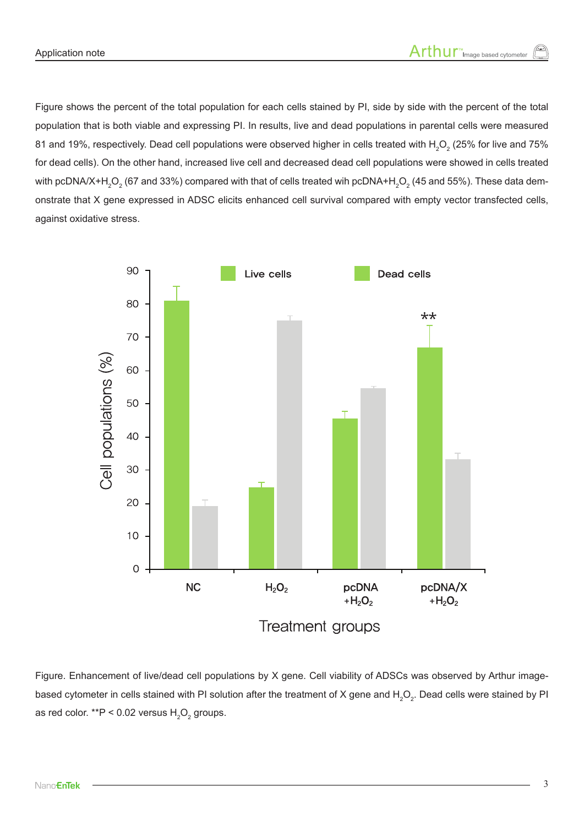Figure shows the percent of the total population for each cells stained by PI, side by side with the percent of the total population that is both viable and expressing PI. In results, live and dead populations in parental cells were measured 81 and 19%, respectively. Dead cell populations were observed higher in cells treated with  $\rm H_2O_2$  (25% for live and 75% for dead cells). On the other hand, increased live cell and decreased dead cell populations were showed in cells treated with pcDNA/X+H $_{2}$ O $_{2}$  (67 and 33%) compared with that of cells treated wih pcDNA+H $_{2}$ O $_{2}$  (45 and 55%). These data demonstrate that X gene expressed in ADSC elicits enhanced cell survival compared with empty vector transfected cells, against oxidative stress.



Figure. Enhancement of live/dead cell populations by X gene. Cell viability of ADSCs was observed by Arthur imagebased cytometer in cells stained with PI solution after the treatment of X gene and  $H_2O_2$ . Dead cells were stained by PI as red color. \*\*P < 0.02 versus  $H_2O_2$  groups.